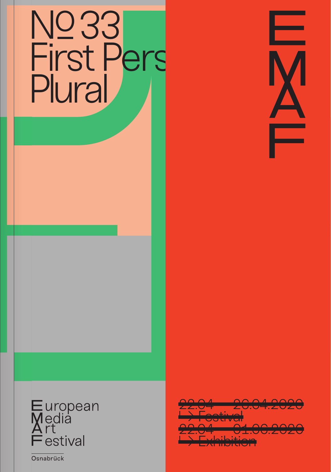





22.04 — 26.04.2020 <del>→ Festival</del> 22.04 — 01.06.2020 **Lexhibition** 

Osnabrück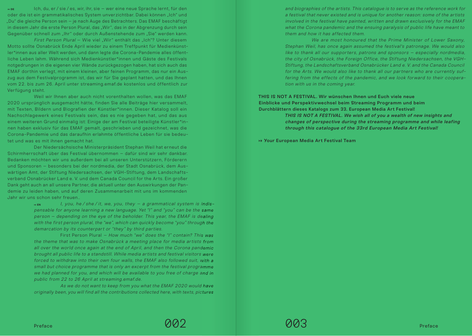**<sup>⟼</sup> DE** Ich, du, er / sie / es, wir, ihr, sie – wer eine neue Sprache lernt, für den oder die ist ein grammatikalisches System unverzichtbar. Dabei können "Ich" und "Du" die gleiche Person sein – je nach Auge des Betrachters. Das EMAF beschäftigt in diesem Jahr die erste Person Plural, das "Wir", das in der Abgrenzung durch sein Gegenüber schnell zum "Ihr" oder durch Außenstehende zum "Sie" werden kann.

First Person Plural – Wie viel "Wir" enthält das "Ich"? Unter diesem Motto sollte Osnabrück Ende April wieder zu einem Treffpunkt für Medienkünstler\*innen aus aller Welt werden, und dann legte die Corona-Pandemie alles öffentliche Leben lahm. Während sich Medienkünstler\*innen und Gäste des Festivals notgedrungen in die eigenen vier Wände zurückgezogen haben, hat sich auch das EMAF dorthin verlegt, mit einem kleinen, aber feinen Programm, das nur ein Auszug aus dem Festivalprogramm ist, das wir für Sie geplant hatten, und das Ihnen vom 22. bis zum 26. April unter streaming.emaf.de kostenlos und öffentlich zur Verfügung steht.

Weil wir Ihnen aber auch nicht vorenthalten wollen, was das EMAF 2020 ursprünglich ausgemacht hätte, finden Sie alle Beiträge hier versammelt, mit Texten, Bildern und Biografien der Künstler\*innen. Dieser Katalog soll ein Nachschlagewerk eines Festivals sein, das es nie gegeben hat, und das aus einem weiteren Grund einmalig ist: Einige der am Festival beteiligte Künstler\*innen haben exklusiv für das EMAF gemalt, geschrieben und gezeichnet, was die Corona-Pandemie und das daraufhin erlahmte öffentliche Leben für sie bedeutet und was es mit ihnen gemacht hat.

Der Niedersächsische Ministerpräsident Stephan Weil hat erneut die Schirmherrschaft über das Festival übernommen – dafür sind wir sehr dankbar. Bedanken möchten wir uns außerdem bei all unseren Unterstützern, Förderern und Sponsoren – besonders bei der nordmedia, der Stadt Osnabrück, dem Auswärtigen Amt, der Stiftung Niedersachsen, der VGH-Stiftung, dem Landschaftsverband Osnabrücker Land e. V. und dem Canada Council for the Arts. Ein großer Dank geht auch an all unsere Partner, die aktuell unter den Auswirkungen der Pandemie zu leiden haben, und auf deren Zusammenarbeit mit uns im kommenden Jahr wir uns schon sehr freuen..

> $\rightarrow$ **EN** I, you, he / she / it, we, you, they − a grammatical system is indispensable for anyone learning a new language. Yet "I" and "you" can be the same person – depending on the eye of the beholder. This year, the EMAF is dealing with the first person plural, the "we", which can quickly become "you" through the demarcation by its counterpart or "they" by third parties.

> First Person Plural – How much "we" does the "I" contain? This was the theme that was to make Osnabrück a meeting place for media artists from all over the world once again at the end of April, and then the Corona pandemic brought all public life to a standstill. While media artists and festival visitors were forced to withdraw into their own four walls, the EMAF also followed suit, with a small but choice programme that is only an excerpt from the festival programme we had planned for you, and which will be available to you free of charge and in public from 22 to 26 April at streaming.emaf.de.

> As we do not want to keep from you what the EMAF 2020 would have originally been, you will find all the contributions collected here, with texts, pictures

and biographies of the artists. This catalogue is to serve as the reference work for a festival that never existed and is unique for another reason: some of the artists involved in the festival have painted, written and drawn exclusively for the EMAF what the Corona pandemic and the ensuing paralysis of public life have meant to them and how it has affected them.

We are most honoured that the Prime Minister of Lower Saxony, Stephan Weil, has once again assumed the festival's patronage. We would also like to thank all our supporters, patrons and sponsors – especially nordmedia, the city of Osnabrück, the Foreign Office, the Stiftung Niedersachsen, the VGH-Stiftung, the Landschaftsverband Osnabrücker Land e. V. and the Canada Council for the Arts. We would also like to thank all our partners who are currently suffering from the effects of the pandemic, and we look forward to their cooperation with us in the coming year.

## THIS IS NOT A FESTIVAL. Wir wünschen Ihnen und Euch viele neue Einblicke und Perspektivwechsel beim Streaming Programm und beim Durchblättern dieses Katalogs zum 33. European Media Art Festival!

THIS IS NOT A FESTIVAL. We wish all of you a wealth of new insights and changes of perspective during the streaming programme and while leafing through this catalogue of the 33rd European Media Art Festival!

 $→$  **Your European Media Art Festival Team**